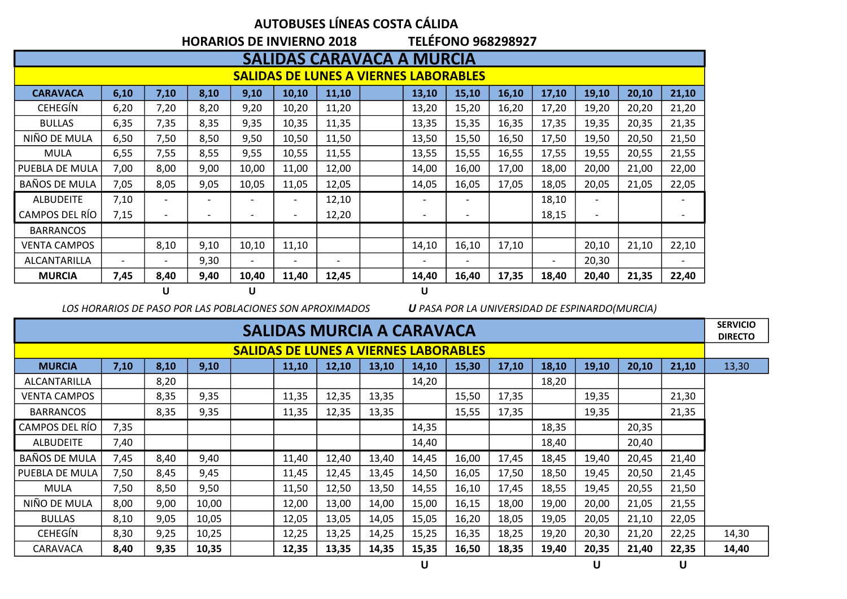## **AUTOBUSES LÍNEAS COSTA CÁLIDA**

**HORARIOS DE INVIERNO 2018 TELÉFONO 968298927**

|                                              | SALIDAS CARAVACA A MURCIA |                          |      |                          |                          |                          |  |                          |                          |       |                          |                          |       |                          |
|----------------------------------------------|---------------------------|--------------------------|------|--------------------------|--------------------------|--------------------------|--|--------------------------|--------------------------|-------|--------------------------|--------------------------|-------|--------------------------|
| <b>SALIDAS DE LUNES A VIERNES LABORABLES</b> |                           |                          |      |                          |                          |                          |  |                          |                          |       |                          |                          |       |                          |
| <b>CARAVACA</b>                              | 6,10                      | 7,10                     | 8,10 | 9,10                     | 10,10                    | 11,10                    |  | 13,10                    | 15,10                    | 16,10 | 17,10                    | 19,10                    | 20,10 | 21,10                    |
| <b>CEHEGÍN</b>                               | 6,20                      | 7,20                     | 8,20 | 9,20                     | 10,20                    | 11,20                    |  | 13,20                    | 15,20                    | 16,20 | 17,20                    | 19,20                    | 20,20 | 21,20                    |
| <b>BULLAS</b>                                | 6,35                      | 7,35                     | 8,35 | 9,35                     | 10,35                    | 11,35                    |  | 13,35                    | 15,35                    | 16,35 | 17,35                    | 19,35                    | 20,35 | 21,35                    |
| NIÑO DE MULA                                 | 6,50                      | 7,50                     | 8,50 | 9,50                     | 10,50                    | 11,50                    |  | 13,50                    | 15,50                    | 16,50 | 17,50                    | 19,50                    | 20,50 | 21,50                    |
| <b>MULA</b>                                  | 6,55                      | 7,55                     | 8,55 | 9,55                     | 10,55                    | 11,55                    |  | 13,55                    | 15,55                    | 16,55 | 17,55                    | 19,55                    | 20,55 | 21,55                    |
| PUEBLA DE MULA                               | 7,00                      | 8,00                     | 9,00 | 10,00                    | 11,00                    | 12,00                    |  | 14,00                    | 16,00                    | 17,00 | 18,00                    | 20,00                    | 21,00 | 22,00                    |
| BAÑOS DE MULA                                | 7,05                      | 8,05                     | 9,05 | 10,05                    | 11,05                    | 12,05                    |  | 14,05                    | 16,05                    | 17,05 | 18,05                    | 20,05                    | 21,05 | 22,05                    |
| <b>ALBUDEITE</b>                             | 7,10                      | $\overline{\phantom{a}}$ |      |                          | $\overline{\phantom{a}}$ | 12,10                    |  | $\overline{\phantom{a}}$ | $\overline{\phantom{0}}$ |       | 18,10                    | $\overline{\phantom{a}}$ |       | $\overline{\phantom{a}}$ |
| CAMPOS DEL RÍO                               | 7,15                      | $\overline{\phantom{a}}$ |      |                          | $\overline{\phantom{a}}$ | 12,20                    |  | $\overline{\phantom{a}}$ |                          |       | 18,15                    | $\overline{\phantom{a}}$ |       |                          |
| <b>BARRANCOS</b>                             |                           |                          |      |                          |                          |                          |  |                          |                          |       |                          |                          |       |                          |
| VENTA CAMPOS                                 |                           | 8,10                     | 9,10 | 10,10                    | 11,10                    |                          |  | 14,10                    | 16,10                    | 17,10 |                          | 20,10                    | 21,10 | 22,10                    |
| ALCANTARILLA                                 | $\overline{\phantom{a}}$  | $\overline{\phantom{a}}$ | 9,30 | $\overline{\phantom{0}}$ | $\overline{\phantom{a}}$ | $\overline{\phantom{a}}$ |  | $\overline{\phantom{a}}$ | $\overline{\phantom{a}}$ |       | $\overline{\phantom{0}}$ | 20,30                    |       | $\overline{\phantom{a}}$ |
| <b>MURCIA</b>                                | 7,45                      | 8,40                     | 9,40 | 10,40                    | 11,40                    | 12,45                    |  | 14,40                    | 16,40                    | 17,35 | 18,40                    | 20,40                    | 21,35 | 22,40                    |
|                                              |                           | U                        |      | U                        |                          |                          |  | U                        |                          |       |                          |                          |       |                          |

*LOS HORARIOS DE PASO POR LAS POBLACIONES SON APROXIMADOS U PASA POR LA UNIVERSIDAD DE ESPINARDO(MURCIA)*

| SALIDAS MURCIA A CARAVACA                                                                                                       |      |      |       |  |       |       |       |       |       |       |       | <b>SERVICIO</b><br><b>DIRECTO</b> |       |       |       |
|---------------------------------------------------------------------------------------------------------------------------------|------|------|-------|--|-------|-------|-------|-------|-------|-------|-------|-----------------------------------|-------|-------|-------|
| <b>SALIDAS DE LUNES A VIERNES LABORABLES</b>                                                                                    |      |      |       |  |       |       |       |       |       |       |       |                                   |       |       |       |
| 19,10<br>20,10<br>7,10<br>8,10<br>15,30<br>17,10<br>18,10<br><b>MURCIA</b><br>9,10<br>11,10<br>12,10<br>13,10<br>14,10<br>21,10 |      |      |       |  |       |       |       |       |       |       |       | 13,30                             |       |       |       |
| <b>ALCANTARILLA</b>                                                                                                             |      | 8,20 |       |  |       |       |       | 14,20 |       |       | 18,20 |                                   |       |       |       |
| <b>VENTA CAMPOS</b>                                                                                                             |      | 8,35 | 9,35  |  | 11,35 | 12,35 | 13,35 |       | 15,50 | 17,35 |       | 19,35                             |       | 21,30 |       |
| <b>BARRANCOS</b>                                                                                                                |      | 8,35 | 9,35  |  | 11,35 | 12,35 | 13,35 |       | 15,55 | 17,35 |       | 19,35                             |       | 21,35 |       |
| CAMPOS DEL RÍO                                                                                                                  | 7,35 |      |       |  |       |       |       | 14,35 |       |       | 18,35 |                                   | 20,35 |       |       |
| <b>ALBUDEITE</b>                                                                                                                | 7,40 |      |       |  |       |       |       | 14,40 |       |       | 18,40 |                                   | 20,40 |       |       |
| BAÑOS DE MULA                                                                                                                   | 7,45 | 8,40 | 9,40  |  | 11,40 | 12,40 | 13,40 | 14,45 | 16,00 | 17,45 | 18,45 | 19,40                             | 20,45 | 21,40 |       |
| PUEBLA DE MULA                                                                                                                  | 7,50 | 8,45 | 9,45  |  | 11,45 | 12,45 | 13,45 | 14,50 | 16,05 | 17,50 | 18,50 | 19,45                             | 20,50 | 21,45 |       |
| <b>MULA</b>                                                                                                                     | 7,50 | 8,50 | 9,50  |  | 11,50 | 12,50 | 13,50 | 14,55 | 16,10 | 17,45 | 18,55 | 19,45                             | 20,55 | 21,50 |       |
| NIÑO DE MULA                                                                                                                    | 8,00 | 9,00 | 10,00 |  | 12,00 | 13,00 | 14,00 | 15,00 | 16,15 | 18,00 | 19,00 | 20,00                             | 21,05 | 21,55 |       |
| <b>BULLAS</b>                                                                                                                   | 8,10 | 9,05 | 10,05 |  | 12,05 | 13,05 | 14,05 | 15,05 | 16,20 | 18,05 | 19,05 | 20,05                             | 21,10 | 22,05 |       |
| <b>CEHEGIN</b>                                                                                                                  | 8,30 | 9,25 | 10,25 |  | 12,25 | 13,25 | 14,25 | 15,25 | 16,35 | 18,25 | 19,20 | 20,30                             | 21,20 | 22,25 | 14,30 |
| CARAVACA                                                                                                                        | 8,40 | 9,35 | 10,35 |  | 12,35 | 13,35 | 14,35 | 15,35 | 16,50 | 18,35 | 19,40 | 20,35                             | 21,40 | 22,35 | 14,40 |

**U U U**